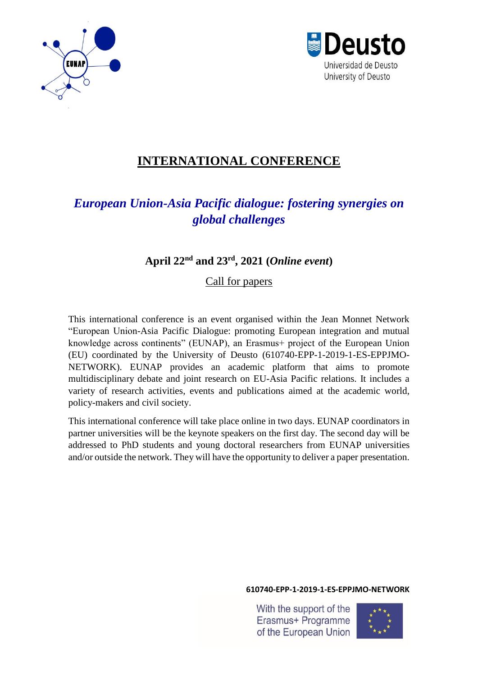



# **INTERNATIONAL CONFERENCE**

# *European Union-Asia Pacific dialogue: fostering synergies on global challenges*

## **April 22nd and 23rd, 2021 (***Online event***)**

## Call for papers

This international conference is an event organised within the Jean Monnet Network "European Union-Asia Pacific Dialogue: promoting European integration and mutual knowledge across continents" (EUNAP), an Erasmus+ project of the European Union (EU) coordinated by the University of Deusto (610740-EPP-1-2019-1-ES-EPPJMO-NETWORK). EUNAP provides an academic platform that aims to promote multidisciplinary debate and joint research on EU-Asia Pacific relations. It includes a variety of research activities, events and publications aimed at the academic world, policy-makers and civil society.

This international conference will take place online in two days. EUNAP coordinators in partner universities will be the keynote speakers on the first day. The second day will be addressed to PhD students and young doctoral researchers from EUNAP universities and/or outside the network. They will have the opportunity to deliver a paper presentation.

**610740-EPP-1-2019-1-ES-EPPJMO-NETWORK**

With the support of the Erasmus+ Programme of the European Union

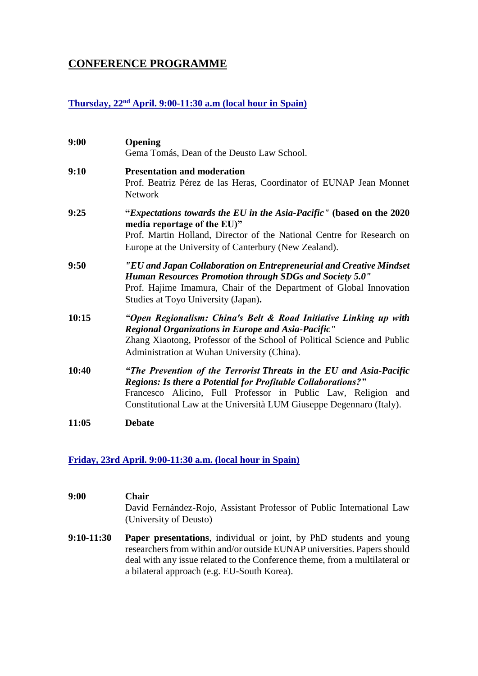## **CONFERENCE PROGRAMME**

## **Thursday, 22nd April. 9:00-11:30 a.m (local hour in Spain)**

| 9:00  | Opening<br>Gema Tomás, Dean of the Deusto Law School.                                                                                                                                                                                                                                |
|-------|--------------------------------------------------------------------------------------------------------------------------------------------------------------------------------------------------------------------------------------------------------------------------------------|
| 9:10  | <b>Presentation and moderation</b><br>Prof. Beatriz Pérez de las Heras, Coordinator of EUNAP Jean Monnet<br><b>Network</b>                                                                                                                                                           |
| 9:25  | "Expectations towards the EU in the Asia-Pacific" (based on the 2020<br>media reportage of the EU)"<br>Prof. Martin Holland, Director of the National Centre for Research on<br>Europe at the University of Canterbury (New Zealand).                                                |
| 9:50  | "EU and Japan Collaboration on Entrepreneurial and Creative Mindset<br><b>Human Resources Promotion through SDGs and Society 5.0"</b><br>Prof. Hajime Imamura, Chair of the Department of Global Innovation<br>Studies at Toyo University (Japan).                                   |
| 10:15 | "Open Regionalism: China's Belt & Road Initiative Linking up with<br><b>Regional Organizations in Europe and Asia-Pacific''</b><br>Zhang Xiaotong, Professor of the School of Political Science and Public<br>Administration at Wuhan University (China).                            |
| 10:40 | "The Prevention of the Terrorist Threats in the EU and Asia-Pacific<br><b>Regions: Is there a Potential for Profitable Collaborations?"</b><br>Francesco Alicino, Full Professor in Public Law, Religion and<br>Constitutional Law at the Università LUM Giuseppe Degennaro (Italy). |
| 11:05 | <b>Debate</b>                                                                                                                                                                                                                                                                        |

### **Friday, 23rd April. 9:00-11:30 a.m. (local hour in Spain)**

- **9:00 Chair** David Fernández-Rojo, Assistant Professor of Public International Law (University of Deusto)
- **9:10-11:30 Paper presentations**, individual or joint, by PhD students and young researchers from within and/or outside EUNAP universities. Papers should deal with any issue related to the Conference theme, from a multilateral or a bilateral approach (e.g. EU-South Korea).